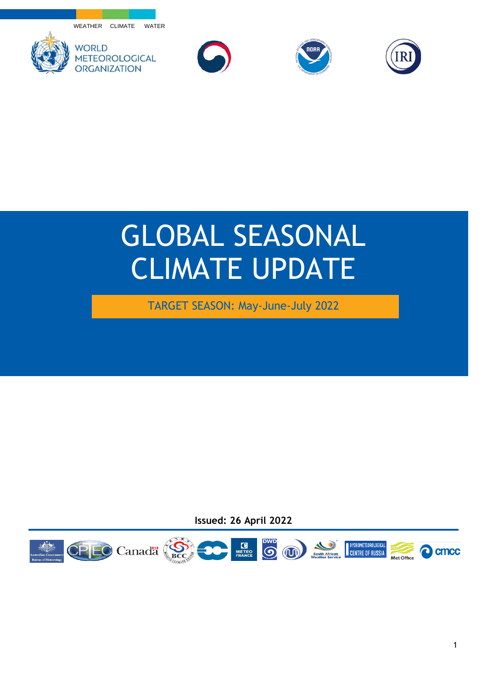WEATHER CLIMATE WATER









## GLOBAL SEASONAL CLIMATE UPDATE

TARGET SEASON: May-June-July 2022

**Issued: 26 April 2022**

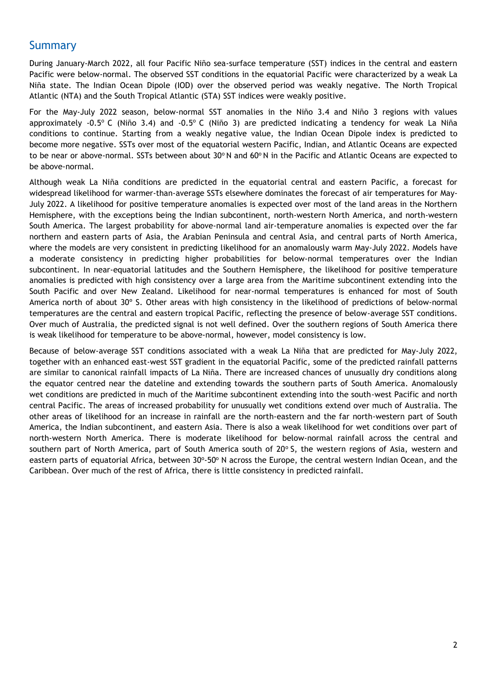## **Summary**

During January-March 2022, all four Pacific Niño sea-surface temperature (SST) indices in the central and eastern Pacific were below-normal. The observed SST conditions in the equatorial Pacific were characterized by a weak La Niña state. The Indian Ocean Dipole (IOD) over the observed period was weakly negative. The North Tropical Atlantic (NTA) and the South Tropical Atlantic (STA) SST indices were weakly positive.

For the May-July 2022 season, below-normal SST anomalies in the Niño 3.4 and Niño 3 regions with values approximately -0.5° C (Niño 3.4) and -0.5° C (Niño 3) are predicted indicating a tendency for weak La Niña conditions to continue. Starting from a weakly negative value, the Indian Ocean Dipole index is predicted to become more negative. SSTs over most of the equatorial western Pacific, Indian, and Atlantic Oceans are expected to be near or above-normal. SSTs between about  $30^{\circ}$  N and  $60^{\circ}$  N in the Pacific and Atlantic Oceans are expected to be above-normal.

Although weak La Niña conditions are predicted in the equatorial central and eastern Pacific, a forecast for widespread likelihood for warmer-than-average SSTs elsewhere dominates the forecast of air temperatures for May-July 2022. A likelihood for positive temperature anomalies is expected over most of the land areas in the Northern Hemisphere, with the exceptions being the Indian subcontinent, north-western North America, and north-western South America. The largest probability for above-normal land air-temperature anomalies is expected over the far northern and eastern parts of Asia, the Arabian Peninsula and central Asia, and central parts of North America, where the models are very consistent in predicting likelihood for an anomalously warm May-July 2022. Models have a moderate consistency in predicting higher probabilities for below-normal temperatures over the Indian subcontinent. In near-equatorial latitudes and the Southern Hemisphere, the likelihood for positive temperature anomalies is predicted with high consistency over a large area from the Maritime subcontinent extending into the South Pacific and over New Zealand. Likelihood for near-normal temperatures is enhanced for most of South America north of about 30º S. Other areas with high consistency in the likelihood of predictions of below-normal temperatures are the central and eastern tropical Pacific, reflecting the presence of below-average SST conditions. Over much of Australia, the predicted signal is not well defined. Over the southern regions of South America there is weak likelihood for temperature to be above-normal, however, model consistency is low.

Because of below-average SST conditions associated with a weak La Niña that are predicted for May-July 2022, together with an enhanced east-west SST gradient in the equatorial Pacific, some of the predicted rainfall patterns are similar to canonical rainfall impacts of La Niña. There are increased chances of unusually dry conditions along the equator centred near the dateline and extending towards the southern parts of South America. Anomalously wet conditions are predicted in much of the Maritime subcontinent extending into the south-west Pacific and north central Pacific. The areas of increased probability for unusually wet conditions extend over much of Australia. The other areas of likelihood for an increase in rainfall are the north-eastern and the far north-western part of South America, the Indian subcontinent, and eastern Asia. There is also a weak likelihood for wet conditions over part of north-western North America. There is moderate likelihood for below-normal rainfall across the central and southern part of North America, part of South America south of  $20^{\circ}$  S, the western regions of Asia, western and eastern parts of equatorial Africa, between 30°-50° N across the Europe, the central western Indian Ocean, and the Caribbean. Over much of the rest of Africa, there is little consistency in predicted rainfall.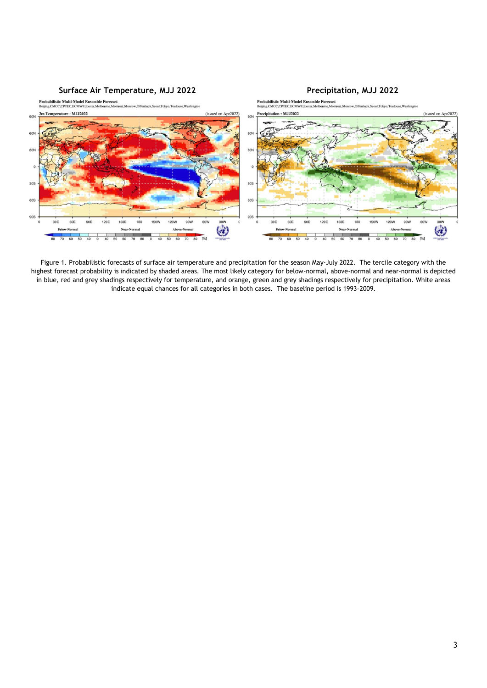

Figure 1. Probabilistic forecasts of surface air temperature and precipitation for the season May-July 2022. The tercile category with the highest forecast probability is indicated by shaded areas. The most likely category for below-normal, above-normal and near-normal is depicted in blue, red and grey shadings respectively for temperature, and orange, green and grey shadings respectively for precipitation. White areas indicate equal chances for all categories in both cases. The baseline period is 1993–2009.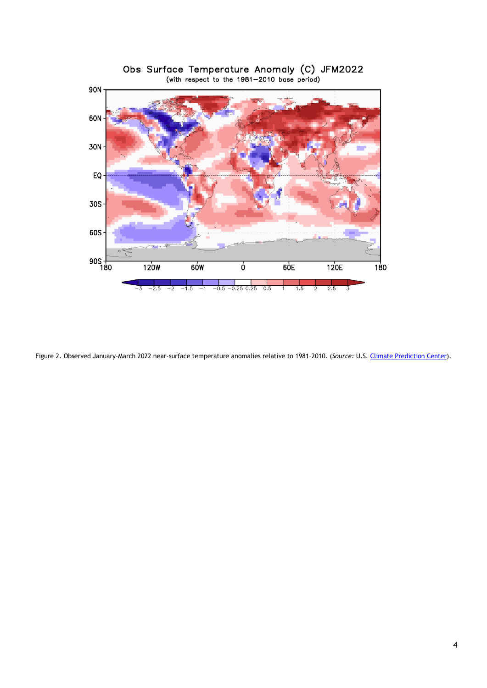

Obs Surface Temperature Anomaly (C) JFM2022<br>(with respect to the 1981-2010 base period)

Figure 2. Observed January-March 2022 near-surface temperature anomalies relative to 1981–2010. (*Source:* U.S[. Climate Prediction Center\)](https://www.cpc.ncep.noaa.gov/).